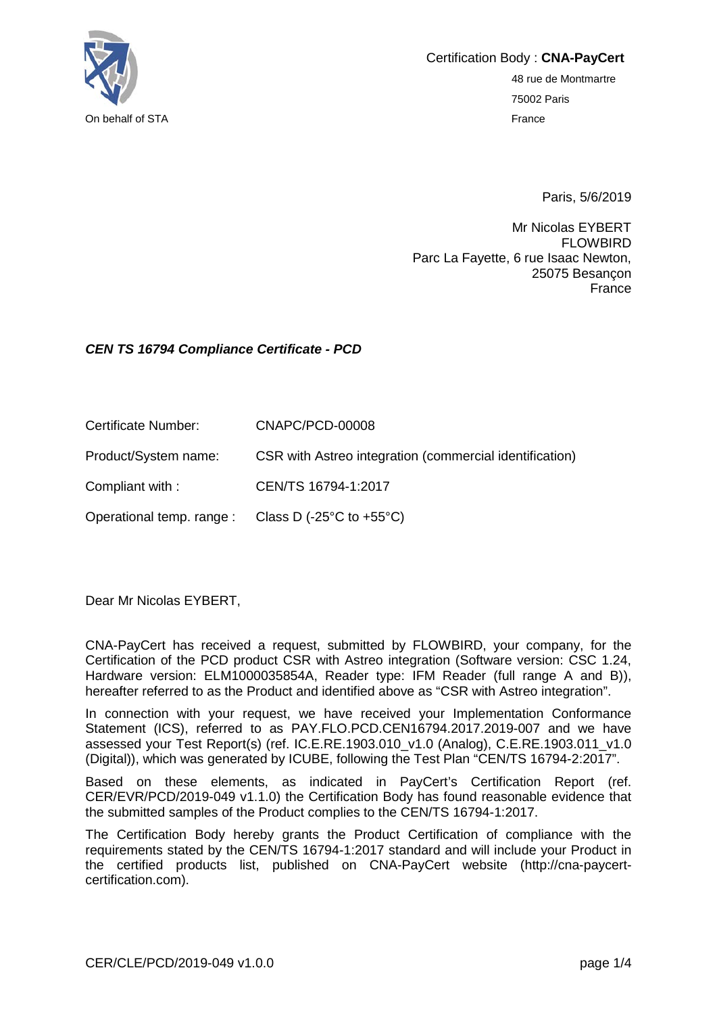

Certification Body : **CNA-PayCert** 48 rue de Montmartre 75002 Paris

Paris, 5/6/2019

Mr Nicolas EYBERT FLOWBIRD Parc La Fayette, 6 rue Isaac Newton, 25075 Besançon France

## *CEN TS 16794 Compliance Certificate - PCD*

| Certificate Number:  | CNAPC/PCD-00008                                         |
|----------------------|---------------------------------------------------------|
| Product/System name: | CSR with Astreo integration (commercial identification) |

Compliant with : CEN/TS 16794-1:2017

Operational temp. range : Class D (-25°C to +55°C)

Dear Mr Nicolas EYBERT,

CNA-PayCert has received a request, submitted by FLOWBIRD, your company, for the Certification of the PCD product CSR with Astreo integration (Software version: CSC 1.24, Hardware version: ELM1000035854A, Reader type: IFM Reader (full range A and B)), hereafter referred to as the Product and identified above as "CSR with Astreo integration".

In connection with your request, we have received your Implementation Conformance Statement (ICS), referred to as PAY.FLO.PCD.CEN16794.2017.2019-007 and we have assessed your Test Report(s) (ref. IC.E.RE.1903.010\_v1.0 (Analog), C.E.RE.1903.011\_v1.0 (Digital)), which was generated by ICUBE, following the Test Plan "CEN/TS 16794-2:2017".

Based on these elements, as indicated in PayCert's Certification Report (ref. CER/EVR/PCD/2019-049 v1.1.0) the Certification Body has found reasonable evidence that the submitted samples of the Product complies to the CEN/TS 16794-1:2017.

The Certification Body hereby grants the Product Certification of compliance with the requirements stated by the CEN/TS 16794-1:2017 standard and will include your Product in the certified products list, published on CNA-PayCert website (http://cna-paycertcertification.com).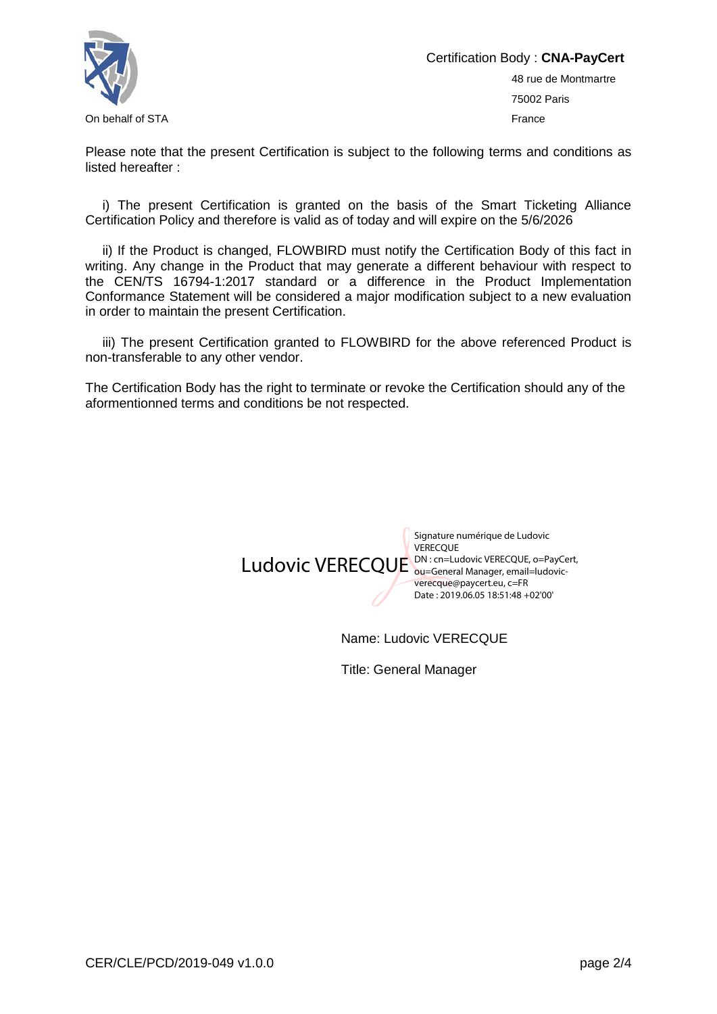

Certification Body : **CNA-PayCert** 48 rue de Montmartre 75002 Paris On behalf of STA France Controller Controller Controller Controller Controller Controller Controller Controller

Please note that the present Certification is subject to the following terms and conditions as listed hereafter :

i) The present Certification is granted on the basis of the Smart Ticketing Alliance Certification Policy and therefore is valid as of today and will expire on the 5/6/2026

ii) If the Product is changed, FLOWBIRD must notify the Certification Body of this fact in writing. Any change in the Product that may generate a different behaviour with respect to the CEN/TS 16794-1:2017 standard or a difference in the Product Implementation Conformance Statement will be considered a major modification subject to a new evaluation in order to maintain the present Certification.

iii) The present Certification granted to FLOWBIRD for the above referenced Product is non-transferable to any other vendor.

The Certification Body has the right to terminate or revoke the Certification should any of the aformentionned terms and conditions be not respected.



Name: Ludovic VERECQUE

Title: General Manager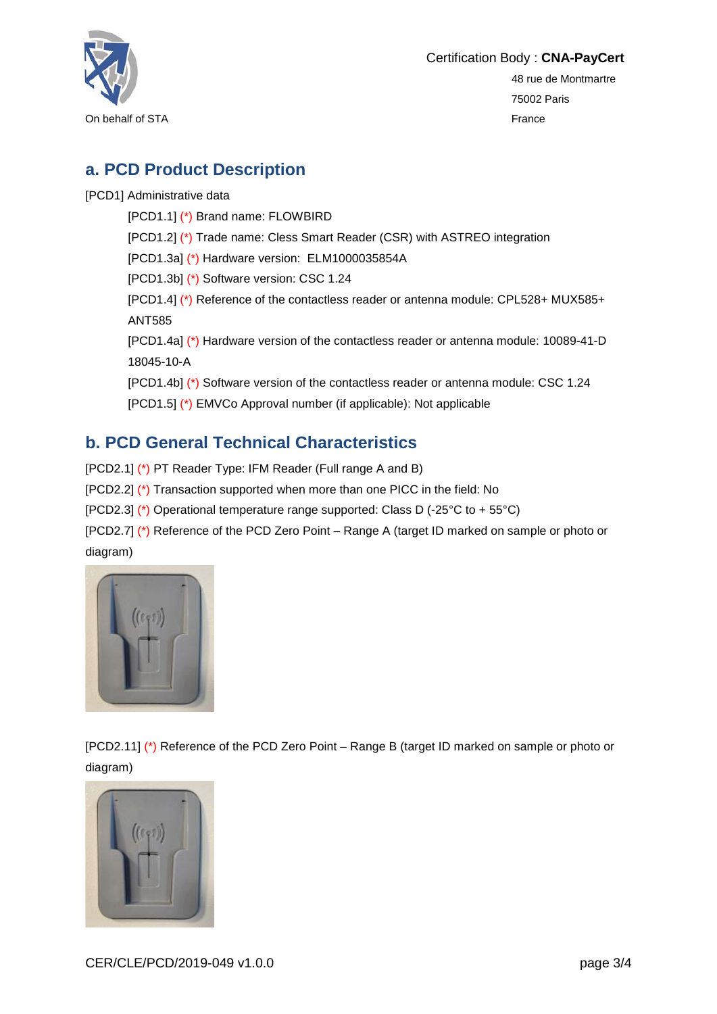

Certification Body : **CNA-PayCert** 48 rue de Montmartre 75002 Paris On behalf of STA France

## **a. PCD Product Description**

[PCD1] Administrative data

[PCD1.1] (\*) Brand name: FLOWBIRD [PCD1.2] (\*) Trade name: Cless Smart Reader (CSR) with ASTREO integration [PCD1.3a] (\*) Hardware version: ELM1000035854A [PCD1.3b] (\*) Software version: CSC 1.24 [PCD1.4] (\*) Reference of the contactless reader or antenna module: CPL528+ MUX585+ ANT585 [PCD1.4a] (\*) Hardware version of the contactless reader or antenna module: 10089-41-D 18045-10-A [PCD1.4b] (\*) Software version of the contactless reader or antenna module: CSC 1.24 [PCD1.5] (\*) EMVCo Approval number (if applicable): Not applicable

## **b. PCD General Technical Characteristics**

[PCD2.1] (\*) PT Reader Type: IFM Reader (Full range A and B)

[PCD2.2] (\*) Transaction supported when more than one PICC in the field: No

[PCD2.3] (\*) Operational temperature range supported: Class D (-25°C to + 55°C)

[PCD2.7] (\*) Reference of the PCD Zero Point – Range A (target ID marked on sample or photo or diagram)



[PCD2.11] (\*) Reference of the PCD Zero Point – Range B (target ID marked on sample or photo or diagram)